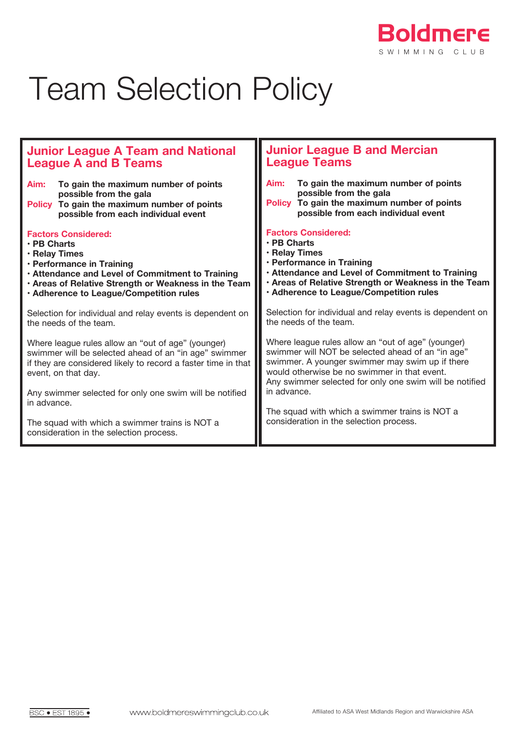

## Team Selection Policy

| <b>Junior League A Team and National</b>                                                                                                                                                                                                                       | <b>Junior League B and Mercian</b>                                                                                                                                                                                                                                                   |
|----------------------------------------------------------------------------------------------------------------------------------------------------------------------------------------------------------------------------------------------------------------|--------------------------------------------------------------------------------------------------------------------------------------------------------------------------------------------------------------------------------------------------------------------------------------|
| <b>League A and B Teams</b>                                                                                                                                                                                                                                    | <b>League Teams</b>                                                                                                                                                                                                                                                                  |
| To gain the maximum number of points                                                                                                                                                                                                                           | To gain the maximum number of points                                                                                                                                                                                                                                                 |
| Aim:                                                                                                                                                                                                                                                           | Aim:                                                                                                                                                                                                                                                                                 |
| possible from the gala                                                                                                                                                                                                                                         | possible from the gala                                                                                                                                                                                                                                                               |
| To gain the maximum number of points                                                                                                                                                                                                                           | To gain the maximum number of points                                                                                                                                                                                                                                                 |
| <b>Policy</b>                                                                                                                                                                                                                                                  | <b>Policy</b>                                                                                                                                                                                                                                                                        |
| possible from each individual event                                                                                                                                                                                                                            | possible from each individual event                                                                                                                                                                                                                                                  |
| <b>Factors Considered:</b>                                                                                                                                                                                                                                     | <b>Factors Considered:</b>                                                                                                                                                                                                                                                           |
| $\cdot$ PB Charts                                                                                                                                                                                                                                              | · PB Charts                                                                                                                                                                                                                                                                          |
| · Relay Times                                                                                                                                                                                                                                                  | · Relay Times                                                                                                                                                                                                                                                                        |
| · Performance in Training                                                                                                                                                                                                                                      | · Performance in Training                                                                                                                                                                                                                                                            |
| . Attendance and Level of Commitment to Training                                                                                                                                                                                                               | . Attendance and Level of Commitment to Training                                                                                                                                                                                                                                     |
| . Areas of Relative Strength or Weakness in the Team                                                                                                                                                                                                           | . Areas of Relative Strength or Weakness in the Team                                                                                                                                                                                                                                 |
| · Adherence to League/Competition rules                                                                                                                                                                                                                        | . Adherence to League/Competition rules                                                                                                                                                                                                                                              |
| Selection for individual and relay events is dependent on                                                                                                                                                                                                      | Selection for individual and relay events is dependent on                                                                                                                                                                                                                            |
| the needs of the team.                                                                                                                                                                                                                                         | the needs of the team.                                                                                                                                                                                                                                                               |
| Where league rules allow an "out of age" (younger)<br>swimmer will be selected ahead of an "in age" swimmer<br>if they are considered likely to record a faster time in that<br>event, on that day.<br>Any swimmer selected for only one swim will be notified | Where league rules allow an "out of age" (younger)<br>swimmer will NOT be selected ahead of an "in age"<br>swimmer. A younger swimmer may swim up if there<br>would otherwise be no swimmer in that event.<br>Any swimmer selected for only one swim will be notified<br>in advance. |
| in advance.<br>The squad with which a swimmer trains is NOT a<br>consideration in the selection process.                                                                                                                                                       | The squad with which a swimmer trains is NOT a<br>consideration in the selection process.                                                                                                                                                                                            |